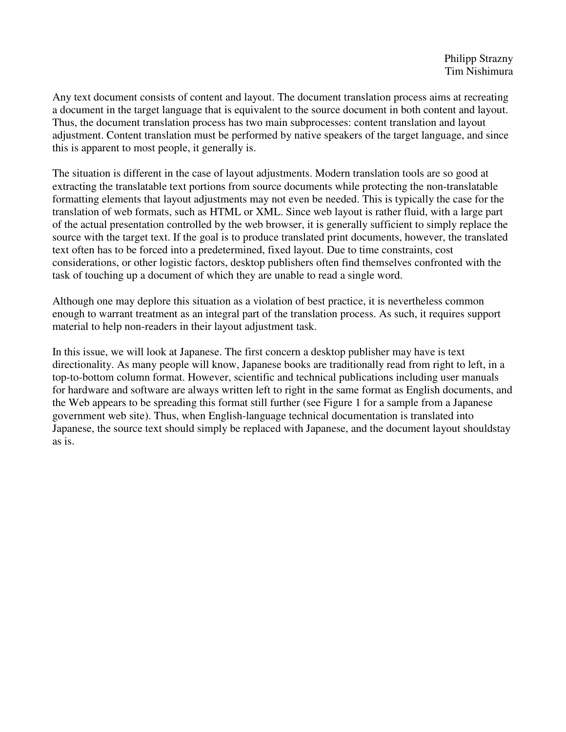Any text document consists of content and layout. The document translation process aims at recreating a document in the target language that is equivalent to the source document in both content and layout. Thus, the document translation process has two main subprocesses: content translation and layout adjustment. Content translation must be performed by native speakers of the target language, and since this is apparent to most people, it generally is.

The situation is different in the case of layout adjustments. Modern translation tools are so good at extracting the translatable text portions from source documents while protecting the non-translatable formatting elements that layout adjustments may not even be needed. This is typically the case for the translation of web formats, such as HTML or XML. Since web layout is rather fluid, with a large part of the actual presentation controlled by the web browser, it is generally sufficient to simply replace the source with the target text. If the goal is to produce translated print documents, however, the translated text often has to be forced into a predetermined, fixed layout. Due to time constraints, cost considerations, or other logistic factors, desktop publishers often find themselves confronted with the task of touching up a document of which they are unable to read a single word.

Although one may deplore this situation as a violation of best practice, it is nevertheless common enough to warrant treatment as an integral part of the translation process. As such, it requires support material to help non-readers in their layout adjustment task.

In this issue, we will look at Japanese. The first concern a desktop publisher may have is text directionality. As many people will know, Japanese books are traditionally read from right to left, in a top-to-bottom column format. However, scientific and technical publications including user manuals for hardware and software are always written left to right in the same format as English documents, and the Web appears to be spreading this format still further (see Figure 1 for a sample from a Japanese government web site). Thus, when English-language technical documentation is translated into Japanese, the source text should simply be replaced with Japanese, and the document layout shouldstay as is.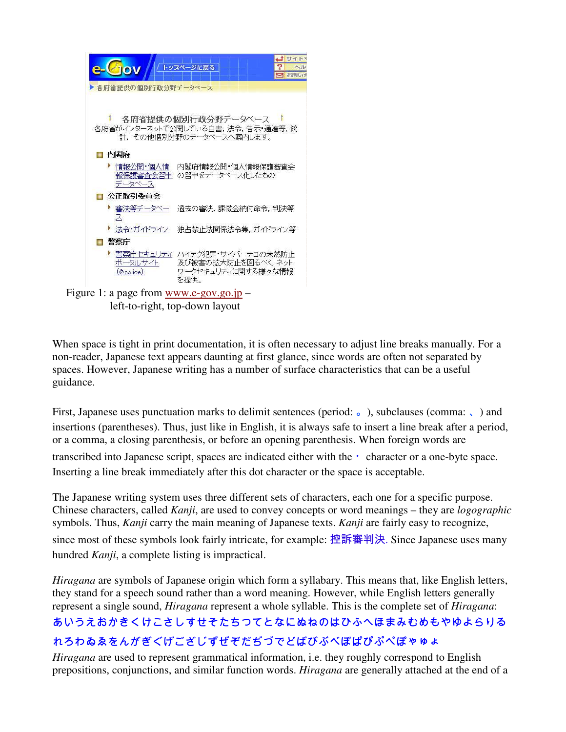

When space is tight in print documentation, it is often necessary to adjust line breaks manually. For a non-reader, Japanese text appears daunting at first glance, since words are often not separated by spaces. However, Japanese writing has a number of surface characteristics that can be a useful guidance.

First, Japanese uses punctuation marks to delimit sentences (period: ...), subclauses (comma: ...) and insertions (parentheses). Thus, just like in English, it is always safe to insert a line break after a period, or a comma, a closing parenthesis, or before an opening parenthesis. When foreign words are transcribed into Japanese script, spaces are indicated either with the ・character or a one-byte space. Inserting a line break immediately after this dot character or the space is acceptable.

The Japanese writing system uses three different sets of characters, each one for a specific purpose. Chinese characters, called *Kanji*, are used to convey concepts or word meanings – they are *logographic*  symbols. Thus, *Kanji* carry the main meaning of Japanese texts. *Kanji* are fairly easy to recognize, since most of these symbols look fairly intricate, for example: 控訴審判決. Since Japanese uses many hundred *Kanji*, a complete listing is impractical.

*Hiragana* are symbols of Japanese origin which form a syllabary. This means that, like English letters, they stand for a speech sound rather than a word meaning. However, while English letters generally represent a single sound, *Hiragana* represent a whole syllable. This is the complete set of *Hiragana*:

## あいうえおかきくけこさしすせそたちつてとなにぬねのはひふへほまみむめもやゆよらりる れろわゐゑをんがぎぐげござじずぜぞだぢづでどばびぶべぼぱぴぷぺぽゃゅょ

*Hiragana* are used to represent grammatical information, i.e. they roughly correspond to English prepositions, conjunctions, and similar function words. *Hiragana* are generally attached at the end of a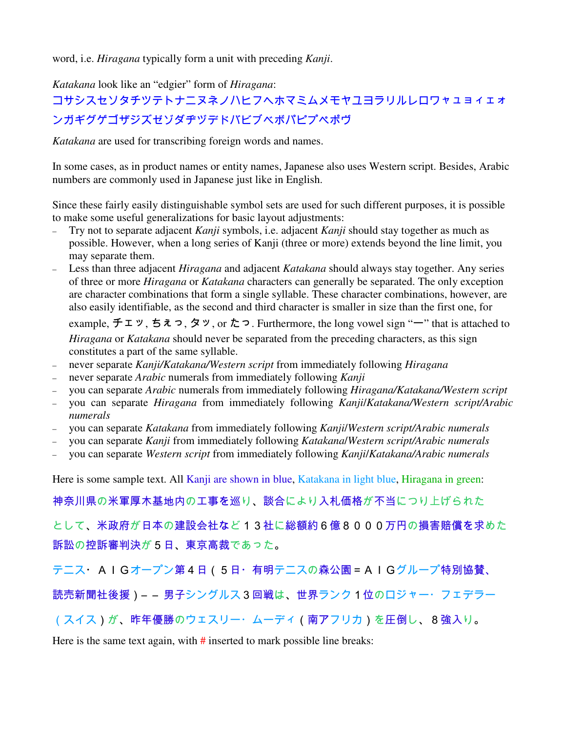word, i.e. *Hiragana* typically form a unit with preceding *Kanji*.

*Katakana* look like an "edgier" form of *Hiragana*:

## コサシスセソタチツテトナニヌネノハヒフヘホマミムメモヤユヨラリルレロワャュョィェォ ンガギグゲゴザジズゼゾダヂヅデドバビブベボパピプペポヴ

*Katakana* are used for transcribing foreign words and names.

In some cases, as in product names or entity names, Japanese also uses Western script. Besides, Arabic numbers are commonly used in Japanese just like in English.

Since these fairly easily distinguishable symbol sets are used for such different purposes, it is possible to make some useful generalizations for basic layout adjustments:

- Try not to separate adjacent *Kanji* symbols, i.e. adjacent *Kanji* should stay together as much as possible. However, when a long series of Kanji (three or more) extends beyond the line limit, you may separate them.
- Less than three adjacent *Hiragana* and adjacent *Katakana* should always stay together. Any series of three or more *Hiragana* or *Katakana* characters can generally be separated. The only exception are character combinations that form a single syllable. These character combinations, however, are also easily identifiable, as the second and third character is smaller in size than the first one, for

example, チェッ, ちぇっ, タッ, or たっ. Furthermore, the long vowel sign " $-$ " that is attached to *Hiragana* or *Katakana* should never be separated from the preceding characters, as this sign constitutes a part of the same syllable.

- never separate *Kanji/Katakana/Western script* from immediately following *Hiragana*
- never separate *Arabic* numerals from immediately following *Kanji*
- you can separate *Arabic* numerals from immediately following *Hiragana/Katakana/Western script*
- you can separate *Hiragana* from immediately following *Kanji*/*Katakana/Western script/Arabic numerals*
- you can separate *Katakana* from immediately following *Kanji*/*Western script/Arabic numerals*
- you can separate *Kanji* from immediately following *Katakana*/*Western script/Arabic numerals*
- you can separate *Western script* from immediately following *Kanji*/*Katakana/Arabic numerals*

Here is some sample text. All Kanji are shown in blue, Katakana in light blue, Hiragana in green:

神奈川県の米軍厚木基地内の工事を巡り、談合により入札価格が不当につり上げられた

として、米政府が日本の建設会社など13社に総額約6億8000万円の損害賠償を求めた 訴訟の控訴審判決が5日、東京高裁であった。

テニス・AIGオープン第4日(5日・有明テニスの森公園=AIGグループ特別協賛、

読売新聞社後援)― ― 男子シングルス3回戦は、世界ランク1位のロジャー・フェデラー

(スイス)が、昨年優勝のウェスリー・ムーディ(南アフリカ)を圧倒し、8強入り。

Here is the same text again, with  $\#$  inserted to mark possible line breaks: